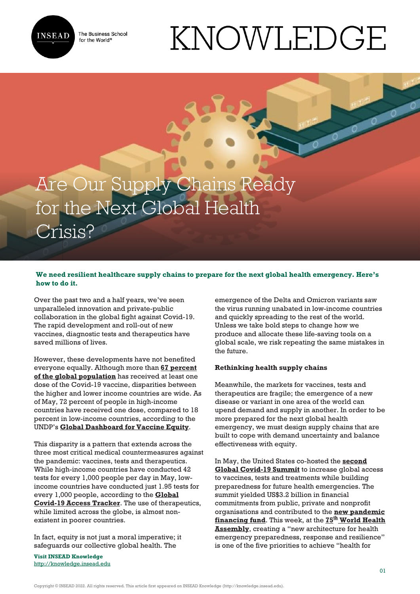

The Business School for the World<sup>®</sup>

# KNOWLEDGE

# Are Our Supply Chains Ready for the Next Global Health Crisis?

# **We need resilient healthcare supply chains to prepare for the next global health emergency. Here's how to do it.**

Over the past two and a half years, we've seen unparalleled innovation and private-public collaboration in the global fight against Covid-19. The rapid development and roll-out of new vaccines, diagnostic tests and therapeutics have saved millions of lives.

However, these developments have not benefited everyone equally. Although more than **[67 percent](https://www.nytimes.com/interactive/2021/world/covid-vaccinations-tracker.html) [of the global population](https://www.nytimes.com/interactive/2021/world/covid-vaccinations-tracker.html)** has received at least one dose of the Covid-19 vaccine, disparities between the higher and lower income countries are wide. As of May, 72 percent of people in high-income countries have received one dose, compared to 18 percent in low-income countries, according to the UNDP's **[Global Dashboard for Vaccine Equity](https://data.undp.org/vaccine-equity/)**.

This disparity is a pattern that extends across the three most critical medical countermeasures against the pandemic: vaccines, tests and therapeutics. While high-income countries have conducted 42 tests for every 1,000 people per day in May, lowincome countries have conducted just 1.95 tests for every 1,000 people, according to the **[Global](https://www.covid19globaltracker.org/) [Covid-19 Access Tracker](https://www.covid19globaltracker.org/)**. The use of therapeutics, while limited across the globe, is almost nonexistent in poorer countries.

In fact, equity is not just a moral imperative; it safeguards our collective global health. The

**Visit INSEAD Knowledge** <http://knowledge.insead.edu>

emergence of the Delta and Omicron variants saw the virus running unabated in low-income countries and quickly spreading to the rest of the world. Unless we take bold steps to change how we produce and allocate these life-saving tools on a global scale, we risk repeating the same mistakes in the future.

# **Rethinking health supply chains**

Meanwhile, the markets for vaccines, tests and therapeutics are fragile; the emergence of a new disease or variant in one area of the world can upend demand and supply in another. In order to be more prepared for the next global health emergency, we must design supply chains that are built to cope with demand uncertainty and balance effectiveness with equity.

In May, the United States co-hosted the **[second](https://www.whitehouse.gov/briefing-room/statements-releases/2022/05/12/2nd-global-covid-19-summit-commitments/) [Global Covid-19 Summit](https://www.whitehouse.gov/briefing-room/statements-releases/2022/05/12/2nd-global-covid-19-summit-commitments/)** to increase global access to vaccines, tests and treatments while building preparedness for future health emergencies. The summit yielded US\$3.2 billion in financial commitments from public, private and nonprofit organisations and contributed to the **[new pandemic](https://www.worldbank.org/en/projects-operations/products-and-services/brief/financial-intermediary-fund-for-pandemic-prevention-preparedness-and-response-engagement) [financing fund](https://www.worldbank.org/en/projects-operations/products-and-services/brief/financial-intermediary-fund-for-pandemic-prevention-preparedness-and-response-engagement)**. This week, at the **[75](https://www.who.int/about/governance/world-health-assembly/seventy-fifth-world-health-assembly)[th](https://www.who.int/about/governance/world-health-assembly/seventy-fifth-world-health-assembly) [World Health](https://www.who.int/about/governance/world-health-assembly/seventy-fifth-world-health-assembly) [Assembly](https://www.who.int/about/governance/world-health-assembly/seventy-fifth-world-health-assembly)**, creating a "new architecture for health emergency preparedness, response and resilience" is one of the five priorities to achieve "health for

Copyright © INSEAD 2022. All rights reserved. This article first appeared on INSEAD Knowledge (http://knowledge.insead.edu).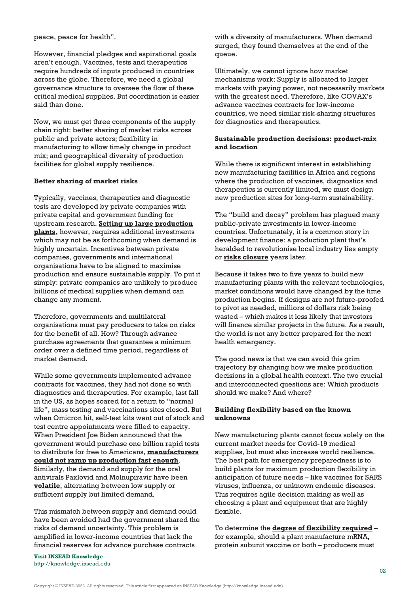peace, peace for health".

However, financial pledges and aspirational goals aren't enough. Vaccines, tests and therapeutics require hundreds of inputs produced in countries across the globe. Therefore, we need a global governance structure to oversee the flow of these critical medical supplies. But coordination is easier said than done.

Now, we must get three components of the supply chain right: better sharing of market risks across public and private actors; flexibility in manufacturing to allow timely change in product mix; and geographical diversity of production facilities for global supply resilience.

## **Better sharing of market risks**

Typically, vaccines, therapeutics and diagnostic tests are developed by private companies with private capital and government funding for upstream research. **[Setting up](https://www.cgdev.org/blog/how-can-we-encourage-covid-19-vaccine-developers-expand-manufacturing-capacity) [large production](https://www.cgdev.org/blog/how-can-we-encourage-covid-19-vaccine-developers-expand-manufacturing-capacity) [plants,](https://www.cgdev.org/blog/how-can-we-encourage-covid-19-vaccine-developers-expand-manufacturing-capacity)** however, requires additional investments which may not be as forthcoming when demand is highly uncertain. Incentives between private companies, governments and international organisations have to be aligned to maximise production and ensure sustainable supply. To put it simply: private companies are unlikely to produce billions of medical supplies when demand can change any moment.

Therefore, governments and multilateral organisations must pay producers to take on risks for the benefit of all. How? Through advance purchase agreements that guarantee a minimum order over a defined time period, regardless of market demand.

While some governments implemented advance contracts for vaccines, they had not done so with diagnostics and therapeutics. For example, last fall in the US, as hopes soared for a return to "normal life", mass testing and vaccinations sites closed. But when Omicron hit, self-test kits went out of stock and test centre appointments were filled to capacity. When President Joe Biden announced that the government would purchase one billion rapid tests to distribute for free to Americans, **[manufacturers](https://www.nytimes.com/2022/02/02/us/politics/biden-covid-tests.html) [could not ramp up production fast enough](https://www.nytimes.com/2022/02/02/us/politics/biden-covid-tests.html)**. Similarly, the demand and supply for the oral antivirals Paxlovid and Molnupiravir have been **[volatile](https://www.pharmaceutical-technology.com/features/covid-19-antiviral-access-uneven-supply-patterns-hinder-us-rollout/)**, alternating between low supply or sufficient supply but limited demand.

This mismatch between supply and demand could have been avoided had the government shared the risks of demand uncertainty. This problem is amplified in lower-income countries that lack the financial reserves for advance purchase contracts

**Visit INSEAD Knowledge** <http://knowledge.insead.edu> with a diversity of manufacturers. When demand surged, they found themselves at the end of the queue.

Ultimately, we cannot ignore how market mechanisms work: Supply is allocated to larger markets with paying power, not necessarily markets with the greatest need. Therefore, like COVAX's advance vaccines contracts for low-income countries, we need similar risk-sharing structures for diagnostics and therapeutics.

# **Sustainable production decisions: product-mix and location**

While there is significant interest in establishing new manufacturing facilities in Africa and regions where the production of vaccines, diagnostics and therapeutics is currently limited, we must design new production sites for long-term sustainability.

The "build and decay" problem has plagued many public-private investments in lower-income countries. Unfortunately, it is a common story in development finance: a production plant that's heralded to revolutionise local industry lies empty or **[risks closure](https://www.reuters.com/business/healthcare-pharmaceuticals/safricas-aspen-covid-19-vaccine-plant-risks-closure-after-no-orders-executive-2022-05-01/)** years later.

Because it takes two to five years to build new manufacturing plants with the relevant technologies, market conditions would have changed by the time production begins. If designs are not future-proofed to pivot as needed, millions of dollars risk being wasted – which makes it less likely that investors will finance similar projects in the future. As a result, the world is not any better prepared for the next health emergency.

The good news is that we can avoid this grim trajectory by changing how we make production decisions in a global health context. The two crucial and interconnected questions are: Which products should we make? And where?

## **Building flexibility based on the known unknowns**

New manufacturing plants cannot focus solely on the current market needs for Covid-19 medical supplies, but must also increase world resilience. The best path for emergency preparedness is to build plants for maximum production flexibility in anticipation of future needs – like vaccines for SARS viruses, influenza, or unknown endemic diseases. This requires agile decision making as well as choosing a plant and equipment that are highly flexible.

To determine the **[degree of flexibility required](https://knowledge.insead.edu/operations/boosting-vaccine-production-needs-the-right-degree-of-flexibility-17621)** – for example, should a plant manufacture mRNA, protein subunit vaccine or both – producers must

Copyright © INSEAD 2022. All rights reserved. This article first appeared on INSEAD Knowledge (http://knowledge.insead.edu).